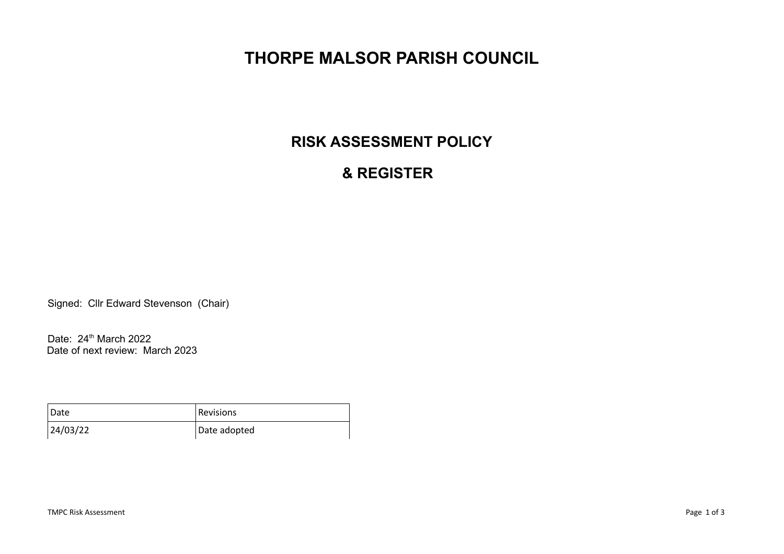# **THORPE MALSOR PARISH COUNCIL**

## **RISK ASSESSMENT POLICY**

## **& REGISTER**

Signed: Cllr Edward Stevenson (Chair)

Date: 24<sup>th</sup> March 2022 Date of next review: March 2023

| Date     | Revisions    |
|----------|--------------|
| 24/03/22 | Date adopted |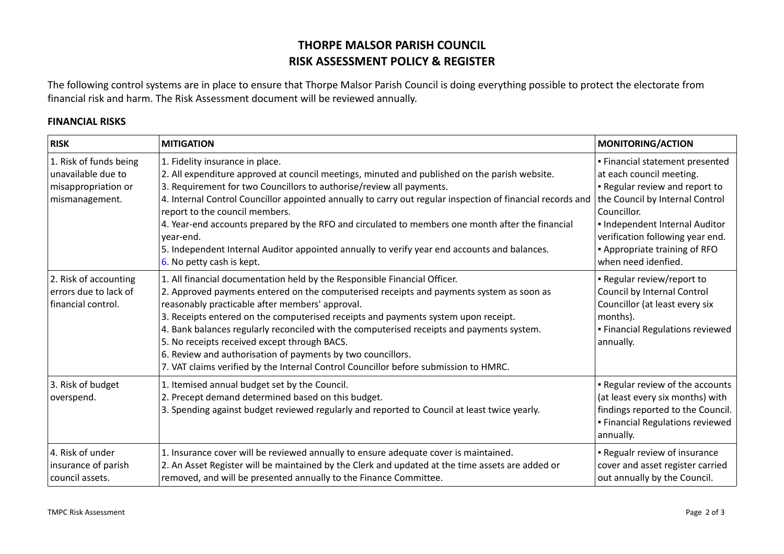### **THORPE MALSOR PARISH COUNCIL RISK ASSESSMENT POLICY & REGISTER**

The following control systems are in place to ensure that Thorpe Malsor Parish Council is doing everything possible to protect the electorate from financial risk and harm. The Risk Assessment document will be reviewed annually.

### **FINANCIAL RISKS**

| <b>RISK</b>                                                                           | <b>MITIGATION</b>                                                                                                                                                                                                                                                                                                                                                                                                                                                                                                                                                                                                  | <b>MONITORING/ACTION</b>                                                                                                                                                                                                                                                             |
|---------------------------------------------------------------------------------------|--------------------------------------------------------------------------------------------------------------------------------------------------------------------------------------------------------------------------------------------------------------------------------------------------------------------------------------------------------------------------------------------------------------------------------------------------------------------------------------------------------------------------------------------------------------------------------------------------------------------|--------------------------------------------------------------------------------------------------------------------------------------------------------------------------------------------------------------------------------------------------------------------------------------|
| 1. Risk of funds being<br>unavailable due to<br>misappropriation or<br>mismanagement. | 1. Fidelity insurance in place.<br>2. All expenditure approved at council meetings, minuted and published on the parish website.<br>3. Requirement for two Councillors to authorise/review all payments.<br>4. Internal Control Councillor appointed annually to carry out regular inspection of financial records and<br>report to the council members.<br>4. Year-end accounts prepared by the RFO and circulated to members one month after the financial<br>year-end.<br>5. Independent Internal Auditor appointed annually to verify year end accounts and balances.<br>6. No petty cash is kept.             | · Financial statement presented<br>at each council meeting.<br>. Regular review and report to<br>the Council by Internal Control<br>Councillor.<br>. Independent Internal Auditor<br>verification following year end.<br><b>-</b> Appropriate training of RFO<br>when need idenfied. |
| 2. Risk of accounting<br>errors due to lack of<br>financial control.                  | 1. All financial documentation held by the Responsible Financial Officer.<br>2. Approved payments entered on the computerised receipts and payments system as soon as<br>reasonably practicable after members' approval.<br>3. Receipts entered on the computerised receipts and payments system upon receipt.<br>4. Bank balances regularly reconciled with the computerised receipts and payments system.<br>5. No receipts received except through BACS.<br>6. Review and authorisation of payments by two councillors.<br>7. VAT claims verified by the Internal Control Councillor before submission to HMRC. | - Regular review/report to<br>Council by Internal Control<br>Councillor (at least every six<br>months).<br>· Financial Regulations reviewed<br>annually.                                                                                                                             |
| 3. Risk of budget<br>overspend.                                                       | 1. Itemised annual budget set by the Council.<br>2. Precept demand determined based on this budget.<br>3. Spending against budget reviewed regularly and reported to Council at least twice yearly.                                                                                                                                                                                                                                                                                                                                                                                                                | . Regular review of the accounts<br>(at least every six months) with<br>findings reported to the Council.<br>· Financial Regulations reviewed<br>annually.                                                                                                                           |
| 4. Risk of under<br>insurance of parish<br>council assets.                            | 1. Insurance cover will be reviewed annually to ensure adequate cover is maintained.<br>2. An Asset Register will be maintained by the Clerk and updated at the time assets are added or<br>removed, and will be presented annually to the Finance Committee.                                                                                                                                                                                                                                                                                                                                                      | . Regualr review of insurance<br>cover and asset register carried<br>out annually by the Council.                                                                                                                                                                                    |